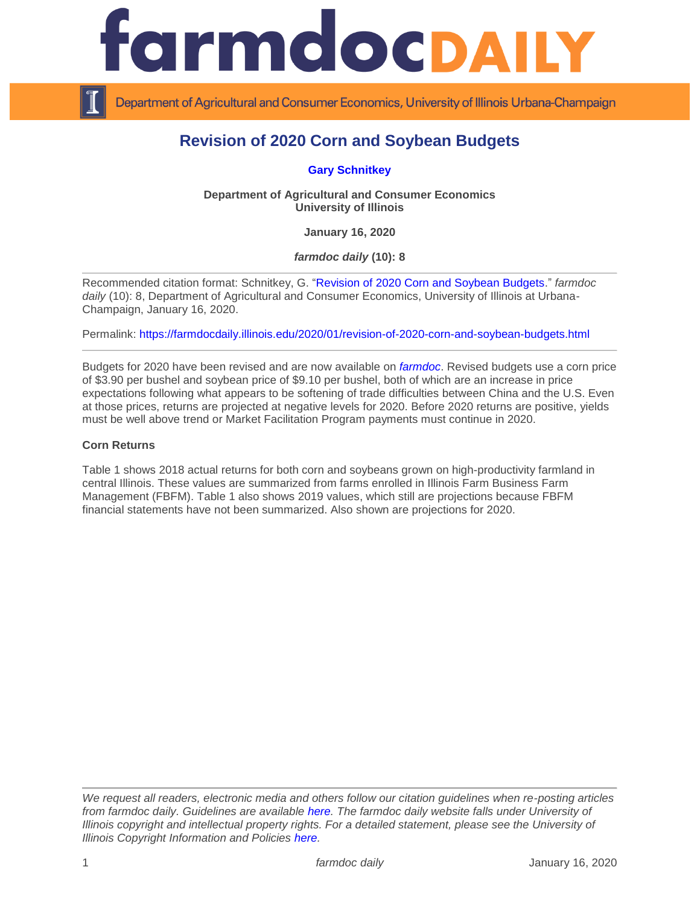

Department of Agricultural and Consumer Economics, University of Illinois Urbana-Champaign

# **Revision of 2020 Corn and Soybean Budgets**

**[Gary Schnitkey](https://ace.illinois.edu/directory/schnitke)**

**Department of Agricultural and Consumer Economics University of Illinois**

**January 16, 2020**

*farmdoc daily* **(10): 8**

Recommended citation format: Schnitkey, G. ["Revision of 2020 Corn and Soybean Budgets.](https://farmdocdaily.illinois.edu/2020/01/revision-of-2020-corn-and-soybean-budgets.html)" *farmdoc*  daily (10): 8, Department of Agricultural and Consumer Economics, University of Illinois at Urbana-Champaign, January 16, 2020.

Permalink:<https://farmdocdaily.illinois.edu/2020/01/revision-of-2020-corn-and-soybean-budgets.html>

Budgets for 2020 have been revised and are now available on *[farmdoc](https://farmdoc.illinois.edu/management)*. Revised budgets use a corn price of \$3.90 per bushel and soybean price of \$9.10 per bushel, both of which are an increase in price expectations following what appears to be softening of trade difficulties between China and the U.S. Even at those prices, returns are projected at negative levels for 2020. Before 2020 returns are positive, yields must be well above trend or Market Facilitation Program payments must continue in 2020.

### **Corn Returns**

Table 1 shows 2018 actual returns for both corn and soybeans grown on high-productivity farmland in central Illinois. These values are summarized from farms enrolled in Illinois Farm Business Farm Management (FBFM). Table 1 also shows 2019 values, which still are projections because FBFM financial statements have not been summarized. Also shown are projections for 2020.

*We request all readers, electronic media and others follow our citation guidelines when re-posting articles from farmdoc daily. Guidelines are available [here.](http://farmdocdaily.illinois.edu/citationguide.html) The farmdoc daily website falls under University of Illinois copyright and intellectual property rights. For a detailed statement, please see the University of Illinois Copyright Information and Policies [here.](http://www.cio.illinois.edu/policies/copyright/)*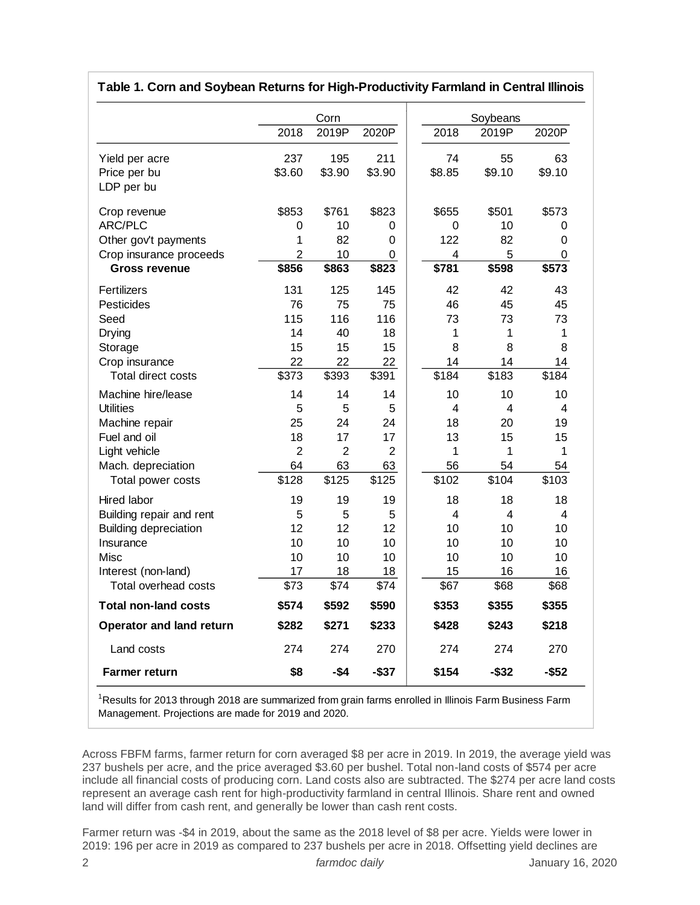|                              |                | Corn           |                |        | Soybeans |        |
|------------------------------|----------------|----------------|----------------|--------|----------|--------|
|                              | 2018           | 2019P          | 2020P          | 2018   | 2019P    | 2020P  |
| Yield per acre               | 237            | 195            | 211            | 74     | 55       | 63     |
| Price per bu                 | \$3.60         | \$3.90         | \$3.90         | \$8.85 | \$9.10   | \$9.10 |
| LDP per bu                   |                |                |                |        |          |        |
| Crop revenue                 | \$853          | \$761          | \$823          | \$655  | \$501    | \$573  |
| <b>ARC/PLC</b>               | 0              | 10             | 0              | 0      | 10       | 0      |
| Other gov't payments         | 1              | 82             | 0              | 122    | 82       | 0      |
| Crop insurance proceeds      | $\overline{2}$ | 10             | $\Omega$       | 4      | 5        | 0      |
| <b>Gross revenue</b>         | \$856          | \$863          | \$823          | \$781  | \$598    | \$573  |
| Fertilizers                  | 131            | 125            | 145            | 42     | 42       | 43     |
| Pesticides                   | 76             | 75             | 75             | 46     | 45       | 45     |
| Seed                         | 115            | 116            | 116            | 73     | 73       | 73     |
| Drying                       | 14             | 40             | 18             | 1      | 1        | 1      |
| Storage                      | 15             | 15             | 15             | 8      | 8        | 8      |
| Crop insurance               | 22             | 22             | 22             | 14     | 14       | 14     |
| Total direct costs           | \$373          | \$393          | \$391          | \$184  | \$183    | \$184  |
| Machine hire/lease           | 14             | 14             | 14             | 10     | 10       | 10     |
| <b>Utilities</b>             | 5              | 5              | 5              | 4      | 4        | 4      |
| Machine repair               | 25             | 24             | 24             | 18     | 20       | 19     |
| Fuel and oil                 | 18             | 17             | 17             | 13     | 15       | 15     |
| Light vehicle                | $\overline{2}$ | $\overline{2}$ | $\overline{2}$ | 1      | 1        | 1      |
| Mach. depreciation           | 64             | 63             | 63             | 56     | 54       | 54     |
| Total power costs            | \$128          | \$125          | \$125          | \$102  | \$104    | \$103  |
| Hired labor                  | 19             | 19             | 19             | 18     | 18       | 18     |
| Building repair and rent     | 5              | 5              | 5              | 4      | 4        | 4      |
| <b>Building depreciation</b> | 12             | 12             | 12             | 10     | 10       | 10     |
| Insurance                    | 10             | 10             | 10             | 10     | 10       | 10     |
| Misc                         | 10             | 10             | 10             | 10     | 10       | 10     |
| Interest (non-land)          | 17             | 18             | 18             | 15     | 16       | 16     |
| Total overhead costs         | \$73           | \$74           | \$74           | \$67   | \$68     | \$68   |
| <b>Total non-land costs</b>  | \$574          | \$592          | \$590          | \$353  | \$355    | \$355  |
| Operator and land return     | \$282          | \$271          | \$233          | \$428  | \$243    | \$218  |
| Land costs                   | 274            | 274            | 270            | 274    | 274      | 270    |
| <b>Farmer return</b>         | \$8            | -\$4           | $-$37$         | \$154  | -\$32    | -\$52  |

## **Table 1. Corn and Soybean Returns for High-Productivity Farmland in Central Illinois**

<sup>1</sup>Results for 2013 through 2018 are summarized from grain farms enrolled in Illinois Farm Business Farm Management. Projections are made for 2019 and 2020.

Across FBFM farms, farmer return for corn averaged \$8 per acre in 2019. In 2019, the average yield was 237 bushels per acre, and the price averaged \$3.60 per bushel. Total non-land costs of \$574 per acre include all financial costs of producing corn. Land costs also are subtracted. The \$274 per acre land costs represent an average cash rent for high-productivity farmland in central Illinois. Share rent and owned land will differ from cash rent, and generally be lower than cash rent costs.

Farmer return was -\$4 in 2019, about the same as the 2018 level of \$8 per acre. Yields were lower in 2019: 196 per acre in 2019 as compared to 237 bushels per acre in 2018. Offsetting yield declines are